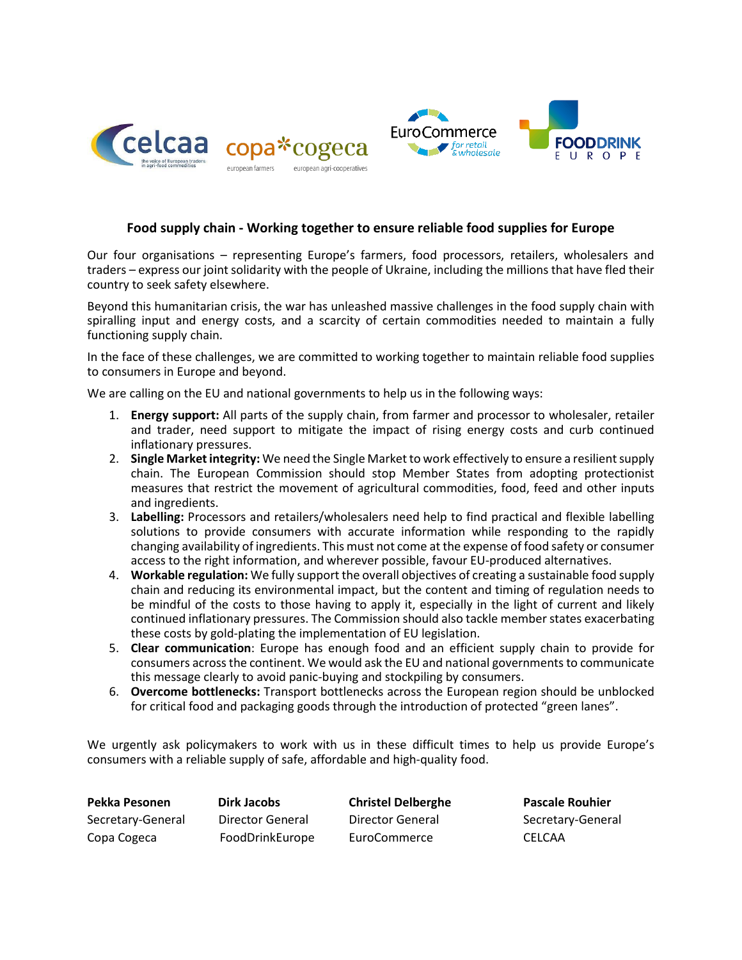



# **Food supply chain - Working together to ensure reliable food supplies for Europe**

Our four organisations – representing Europe's farmers, food processors, retailers, wholesalers and traders – express our joint solidarity with the people of Ukraine, including the millions that have fled their country to seek safety elsewhere.

Beyond this humanitarian crisis, the war has unleashed massive challenges in the food supply chain with spiralling input and energy costs, and a scarcity of certain commodities needed to maintain a fully functioning supply chain.

In the face of these challenges, we are committed to working together to maintain reliable food supplies to consumers in Europe and beyond.

We are calling on the EU and national governments to help us in the following ways:

- 1. **Energy support:** All parts of the supply chain, from farmer and processor to wholesaler, retailer and trader, need support to mitigate the impact of rising energy costs and curb continued inflationary pressures.
- 2. **Single Marketintegrity:** We need the Single Market to work effectively to ensure a resilient supply chain. The European Commission should stop Member States from adopting protectionist measures that restrict the movement of agricultural commodities, food, feed and other inputs and ingredients.
- 3. **Labelling:** Processors and retailers/wholesalers need help to find practical and flexible labelling solutions to provide consumers with accurate information while responding to the rapidly changing availability of ingredients. This must not come at the expense of food safety or consumer access to the right information, and wherever possible, favour EU-produced alternatives.
- 4. **Workable regulation:** We fully support the overall objectives of creating a sustainable food supply chain and reducing its environmental impact, but the content and timing of regulation needs to be mindful of the costs to those having to apply it, especially in the light of current and likely continued inflationary pressures. The Commission should also tackle member states exacerbating these costs by gold-plating the implementation of EU legislation.
- 5. **Clear communication**: Europe has enough food and an efficient supply chain to provide for consumers across the continent. We would ask the EU and national governments to communicate this message clearly to avoid panic-buying and stockpiling by consumers.
- 6. **Overcome bottlenecks:** Transport bottlenecks across the European region should be unblocked for critical food and packaging goods through the introduction of protected "green lanes".

We urgently ask policymakers to work with us in these difficult times to help us provide Europe's consumers with a reliable supply of safe, affordable and high-quality food.

**Pekka Pesonen Dirk Jacobs Christel Delberghe Pascale Rouhier** Copa Cogeca FoodDrinkEurope EuroCommerce CELCAA

Secretary-General Director General Director General Secretary-General